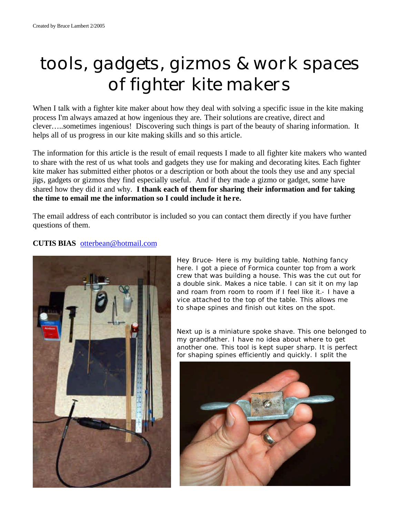# *tools, gadgets, gizmos & work spaces of fighter kite makers*

When I talk with a fighter kite maker about how they deal with solving a specific issue in the kite making process I'm always amazed at how ingenious they are. Their solutions are creative, direct and clever…..sometimes ingenious! Discovering such things is part of the beauty of sharing information. It helps all of us progress in our kite making skills and so this article.

The information for this article is the result of email requests I made to all fighter kite makers who wanted to share with the rest of us what tools and gadgets they use for making and decorating kites. Each fighter kite maker has submitted either photos or a description or both about the tools they use and any special jigs, gadgets or gizmos they find especially useful. And if they made a gizmo or gadget, some have shared how they did it and why. **I thank each of them for sharing their information and for taking the time to email me the information so I could include it he re.**

The email address of each contributor is included so you can contact them directly if you have further questions of them.

# **CUTIS BIAS** otterbean@hotmail.com



Hey Bruce- Here is my building table. Nothing fancy here. I got a piece of Formica counter top from a work crew that was building a house. This was the cut out for a double sink. Makes a nice table. I can sit it on my lap and roam from room to room if I feel like it.- I have a vice attached to the top of the table. This allows me to shape spines and finish out kites on the spot.

Next up is a miniature spoke shave. This one belonged to my grandfather. I have no idea about where to get another one. This tool is kept super sharp. It is perfect for shaping spines efficiently and quickly. I split the

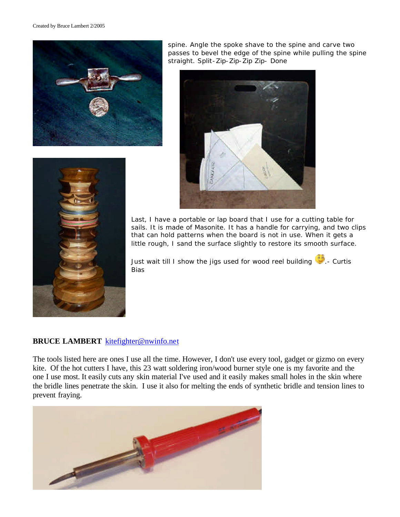



spine. Angle the spoke shave to the spine and carve two passes to bevel the edge of the spine while pulling the spine straight. Split-Zip-Zip-Zip Zip- Done



Last, I have a portable or lap board that I use for a cutting table for sails. It is made of Masonite. It has a handle for carrying, and two clips that can hold patterns when the board is not in use. When it gets a little rough, I sand the surface slightly to restore its smooth surface.

Just wait till I show the jigs used for wood reel building ... Curtis Bias

## **BRUCE LAMBERT** kitefighter@nwinfo.net

The tools listed here are ones I use all the time. However, I don't use every tool, gadget or gizmo on every kite. Of the hot cutters I have, this 23 watt soldering iron/wood burner style one is my favorite and the one I use most. It easily cuts any skin material I've used and it easily makes small holes in the skin where the bridle lines penetrate the skin. I use it also for melting the ends of synthetic bridle and tension lines to prevent fraying.

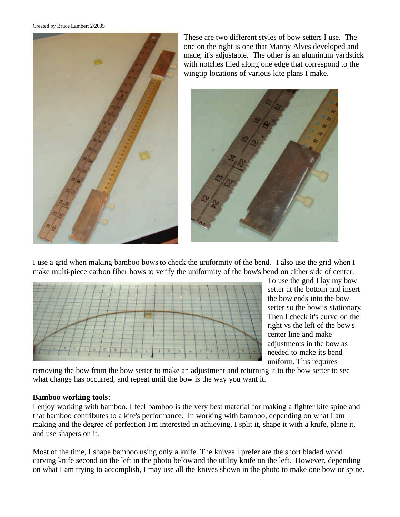Created by Bruce Lambert 2/2005



These are two different styles of bow setters I use. The one on the right is one that Manny Alves developed and made; it's adjustable. The other is an aluminum yardstick with notches filed along one edge that correspond to the wingtip locations of various kite plans I make.



I use a grid when making bamboo bows to check the uniformity of the bend. I also use the grid when I make multi-piece carbon fiber bows to verify the uniformity of the bow's bend on either side of center.



To use the grid I lay my bow setter at the bottom and insert the bow ends into the bow setter so the bow is stationary. Then I check it's curve on the right vs the left of the bow's center line and make adjustments in the bow as needed to make its bend uniform. This requires

removing the bow from the bow setter to make an adjustment and returning it to the bow setter to see what change has occurred, and repeat until the bow is the way you want it.

## **Bamboo working tools**:

I enjoy working with bamboo. I feel bamboo is the very best material for making a fighter kite spine and that bamboo contributes to a kite's performance. In working with bamboo, depending on what I am making and the degree of perfection I'm interested in achieving, I split it, shape it with a knife, plane it, and use shapers on it.

Most of the time, I shape bamboo using only a knife. The knives I prefer are the short bladed wood carving knife second on the left in the photo below and the utility knife on the left. However, depending on what I am trying to accomplish, I may use all the knives shown in the photo to make one bow or spine.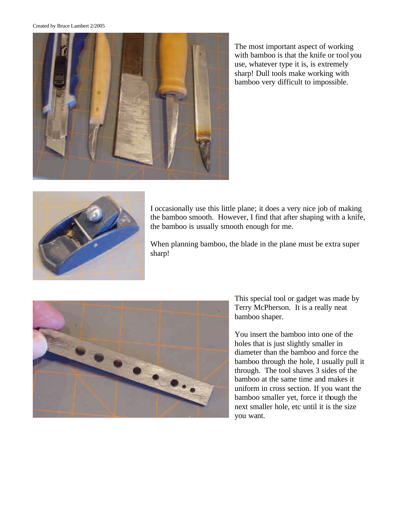#### Created by Bruce Lambert 2/2005



The most important aspect of working with bamboo is that the knife or tool you use, whatever type it is, is extremely sharp! Dull tools make working with bamboo very difficult to impossible.



I occasionally use this little plane; it does a very nice job of making the bamboo smooth. However, I find that after shaping with a knife, the bamboo is usually smooth enough for me.

When planning bamboo, the blade in the plane must be extra super sharp!



This special tool or gadget was made by Terry McPherson. It is a really neat bamboo shaper.

You insert the bamboo into one of the holes that is just slightly smaller in diameter than the bamboo and force the bamboo through the hole, I usually pull it through. The tool shaves 3 sides of the bamboo at the same time and makes it uniform in cross section. If you want the bamboo smaller yet, force it though the next smaller hole, etc until it is the size you want.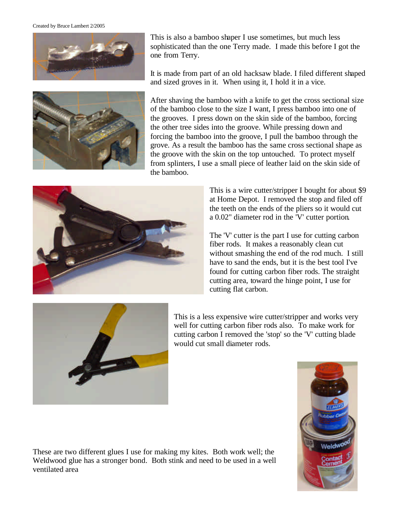Created by Bruce Lambert 2/2005





This is also a bamboo shaper I use sometimes, but much less sophisticated than the one Terry made. I made this before I got the one from Terry.

It is made from part of an old hacksaw blade. I filed different shaped and sized groves in it. When using it, I hold it in a vice.

After shaving the bamboo with a knife to get the cross sectional size of the bamboo close to the size I want, I press bamboo into one of the grooves. I press down on the skin side of the bamboo, forcing the other tree sides into the groove. While pressing down and forcing the bamboo into the groove, I pull the bamboo through the grove. As a result the bamboo has the same cross sectional shape as the groove with the skin on the top untouched. To protect myself from splinters, I use a small piece of leather laid on the skin side of the bamboo.



This is a wire cutter/stripper I bought for about \$9 at Home Depot. I removed the stop and filed off the teeth on the ends of the pliers so it would cut a 0.02" diameter rod in the 'V' cutter portion.

The 'V' cutter is the part I use for cutting carbon fiber rods. It makes a reasonably clean cut without smashing the end of the rod much. I still have to sand the ends, but it is the best tool I've found for cutting carbon fiber rods. The straight cutting area, toward the hinge point, I use for cutting flat carbon.



This is a less expensive wire cutter/stripper and works very well for cutting carbon fiber rods also. To make work for cutting carbon I removed the 'stop' so the 'V' cutting blade would cut small diameter rods.



These are two different glues I use for making my kites. Both work well; the Weldwood glue has a stronger bond. Both stink and need to be used in a well ventilated area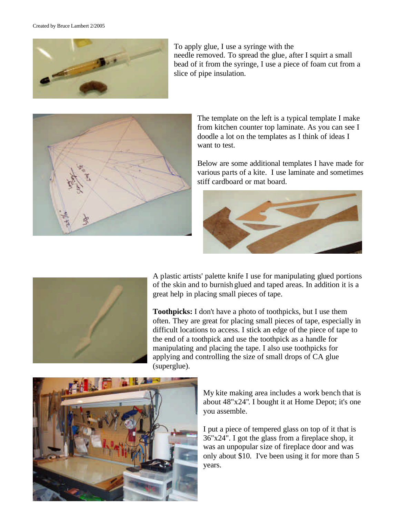

To apply glue, I use a syringe with the needle removed. To spread the glue, after I squirt a small bead of it from the syringe, I use a piece of foam cut from a slice of pipe insulation.



The template on the left is a typical template I make from kitchen counter top laminate. As you can see I doodle a lot on the templates as I think of ideas I want to test.

Below are some additional templates I have made for various parts of a kite. I use laminate and sometimes stiff cardboard or mat board.





A plastic artists' palette knife I use for manipulating glued portions of the skin and to burnish glued and taped areas. In addition it is a great help in placing small pieces of tape.

**Toothpicks:** I don't have a photo of toothpicks, but I use them often. They are great for placing small pieces of tape, especially in difficult locations to access. I stick an edge of the piece of tape to the end of a toothpick and use the toothpick as a handle for manipulating and placing the tape. I also use toothpicks for applying and controlling the size of small drops of CA glue (superglue).



My kite making area includes a work bench that is about 48"x24". I bought it at Home Depot; it's one you assemble.

I put a piece of tempered glass on top of it that is 36"x24". I got the glass from a fireplace shop, it was an unpopular size of fireplace door and was only about \$10. I've been using it for more than 5 years.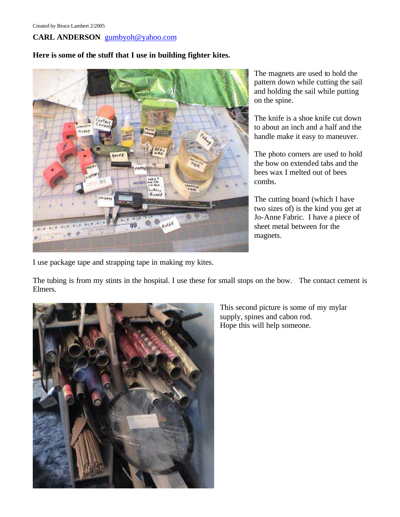# **CARL ANDERSON** gumbyoh@yahoo.com

## **Here is some of the stuff that I use in building fighter kites.**



The magnets are used to hold the pattern down while cutting the sail and holding the sail while putting on the spine.

The knife is a shoe knife cut down to about an inch and a half and the handle make it easy to maneuver.

The photo corners are used to hold the bow on extended tabs and the bees wax I melted out of bees combs.

The cutting board (which I have two sizes of) is the kind you get at Jo-Anne Fabric. I have a piece of sheet metal between for the magnets.

I use package tape and strapping tape in making my kites.

The tubing is from my stints in the hospital. I use these for small stops on the bow. The contact cement is Elmers.



This second picture is some of my mylar supply, spines and cabon rod. Hope this will help someone.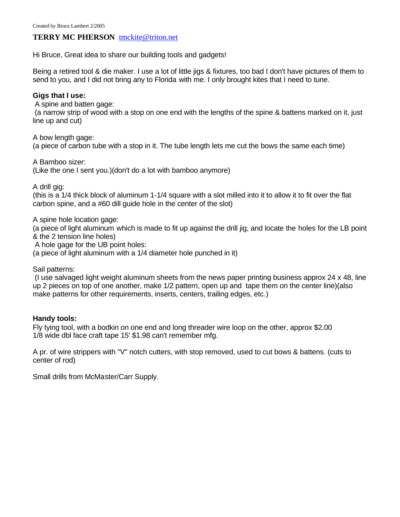#### **TERRY MC PHERSON** tmckite@triton.net

Hi Bruce, Great idea to share our building tools and gadgets!

Being a retired tool & die maker. I use a lot of little jigs & fixtures, too bad I don't have pictures of them to send to you, and I did not bring any to Florida with me. I only brought kites that I need to tune.

#### **Gigs that I use:**

A spine and batten gage:

 (a narrow strip of wood with a stop on one end with the lengths of the spine & battens marked on it, just line up and cut)

A bow length gage: (a piece of carbon tube with a stop in it. The tube length lets me cut the bows the same each time)

A Bamboo sizer: (Like the one I sent you.)(don't do a lot with bamboo anymore)

A drill gig:

(this is a 1/4 thick block of aluminum 1-1/4 square with a slot milled into it to allow it to fit over the flat carbon spine, and a #60 dill guide hole in the center of the slot)

A spine hole location gage:

(a piece of light aluminum which is made to fit up against the drill jig, and locate the holes for the LB point & the 2 tension line holes)

A hole gage for the UB point holes:

(a piece of light aluminum with a 1/4 diameter hole punched in it)

Sail patterns:

 (I use salvaged light weight aluminum sheets from the news paper printing business approx 24 x 48, line up 2 pieces on top of one another, make 1/2 pattern, open up and tape them on the center line)(also make patterns for other requirements, inserts, centers, trailing edges, etc.)

#### **Handy tools:**

Fly tying tool, with a bodkin on one end and long threader wire loop on the other, approx \$2.00 1/8 wide dbl face craft tape 15' \$1.98 can't remember mfg.

A pr. of wire strippers with "V" notch cutters, with stop removed, used to cut bows & battens. (cuts to center of rod)

Small drills from McMaster/Carr Supply.